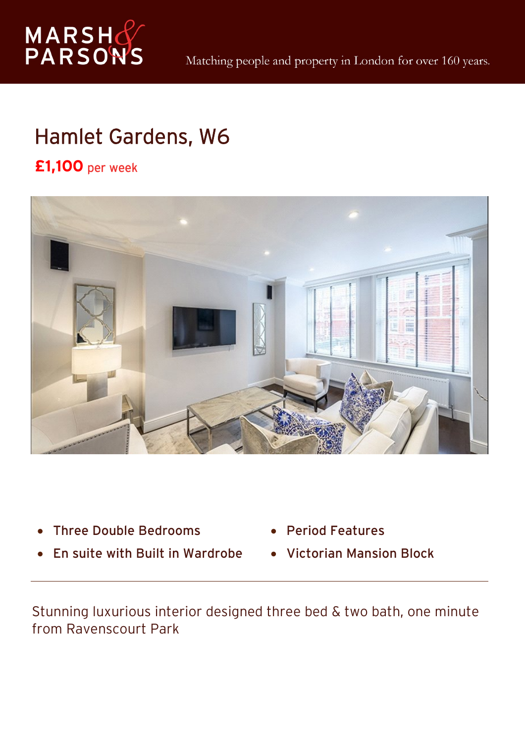

## Hamlet Gardens, W6

## **£1,100** per week



- $\bullet$ Three Double Bedrooms
- $\bullet$ En suite with Built in Wardrobe
- $\bullet$ Period Features
- Victorian Mansion Block

Stunning luxurious interior designed three bed & two bath, one minute from Ravenscourt Park